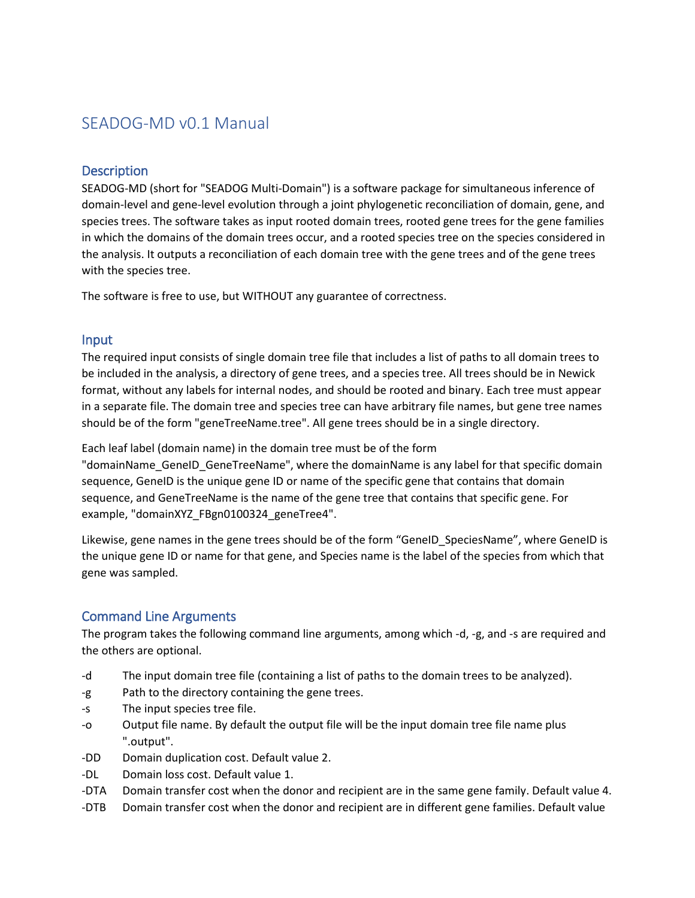# SEADOG-MD v0.1 Manual

#### **Description**

SEADOG-MD (short for "SEADOG Multi-Domain") is a software package for simultaneous inference of domain-level and gene-level evolution through a joint phylogenetic reconciliation of domain, gene, and species trees. The software takes as input rooted domain trees, rooted gene trees for the gene families in which the domains of the domain trees occur, and a rooted species tree on the species considered in the analysis. It outputs a reconciliation of each domain tree with the gene trees and of the gene trees with the species tree.

The software is free to use, but WITHOUT any guarantee of correctness.

#### Input

The required input consists of single domain tree file that includes a list of paths to all domain trees to be included in the analysis, a directory of gene trees, and a species tree. All trees should be in Newick format, without any labels for internal nodes, and should be rooted and binary. Each tree must appear in a separate file. The domain tree and species tree can have arbitrary file names, but gene tree names should be of the form "geneTreeName.tree". All gene trees should be in a single directory.

Each leaf label (domain name) in the domain tree must be of the form

"domainName\_GeneID\_GeneTreeName", where the domainName is any label for that specific domain sequence, GeneID is the unique gene ID or name of the specific gene that contains that domain sequence, and GeneTreeName is the name of the gene tree that contains that specific gene. For example, "domainXYZ\_FBgn0100324\_geneTree4".

Likewise, gene names in the gene trees should be of the form "GeneID SpeciesName", where GeneID is the unique gene ID or name for that gene, and Species name is the label of the species from which that gene was sampled.

#### Command Line Arguments

The program takes the following command line arguments, among which -d, -g, and -s are required and the others are optional.

- -d The input domain tree file (containing a list of paths to the domain trees to be analyzed).
- -g Path to the directory containing the gene trees.
- -s The input species tree file.
- -o Output file name. By default the output file will be the input domain tree file name plus ".output".
- -DD Domain duplication cost. Default value 2.
- -DL Domain loss cost. Default value 1.
- -DTA Domain transfer cost when the donor and recipient are in the same gene family. Default value 4.
- -DTB Domain transfer cost when the donor and recipient are in different gene families. Default value